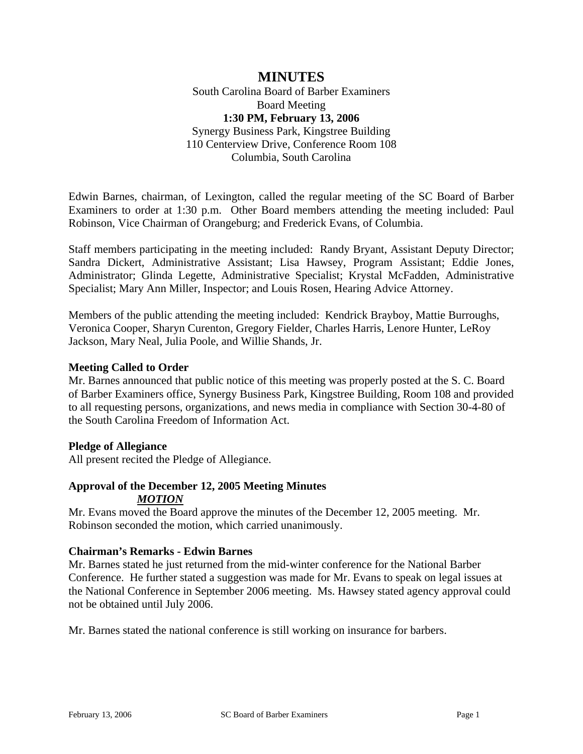# **MINUTES**

South Carolina Board of Barber Examiners Board Meeting **1:30 PM, February 13, 2006**  Synergy Business Park, Kingstree Building 110 Centerview Drive, Conference Room 108 Columbia, South Carolina

Edwin Barnes, chairman, of Lexington, called the regular meeting of the SC Board of Barber Examiners to order at 1:30 p.m. Other Board members attending the meeting included: Paul Robinson, Vice Chairman of Orangeburg; and Frederick Evans, of Columbia.

Staff members participating in the meeting included: Randy Bryant, Assistant Deputy Director; Sandra Dickert, Administrative Assistant; Lisa Hawsey, Program Assistant; Eddie Jones, Administrator; Glinda Legette, Administrative Specialist; Krystal McFadden, Administrative Specialist; Mary Ann Miller, Inspector; and Louis Rosen, Hearing Advice Attorney.

Members of the public attending the meeting included: Kendrick Brayboy, Mattie Burroughs, Veronica Cooper, Sharyn Curenton, Gregory Fielder, Charles Harris, Lenore Hunter, LeRoy Jackson, Mary Neal, Julia Poole, and Willie Shands, Jr.

### **Meeting Called to Order**

Mr. Barnes announced that public notice of this meeting was properly posted at the S. C. Board of Barber Examiners office, Synergy Business Park, Kingstree Building, Room 108 and provided to all requesting persons, organizations, and news media in compliance with Section 30-4-80 of the South Carolina Freedom of Information Act.

#### **Pledge of Allegiance**

All present recited the Pledge of Allegiance.

# **Approval of the December 12, 2005 Meeting Minutes**

#### *MOTION*

Mr. Evans moved the Board approve the minutes of the December 12, 2005 meeting. Mr. Robinson seconded the motion, which carried unanimously.

### **Chairman's Remarks - Edwin Barnes**

Mr. Barnes stated he just returned from the mid-winter conference for the National Barber Conference. He further stated a suggestion was made for Mr. Evans to speak on legal issues at the National Conference in September 2006 meeting. Ms. Hawsey stated agency approval could not be obtained until July 2006.

Mr. Barnes stated the national conference is still working on insurance for barbers.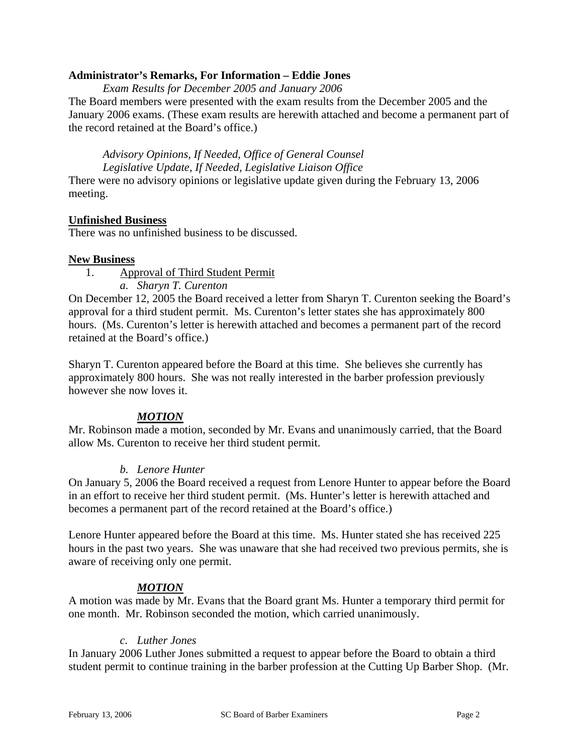### **Administrator's Remarks, For Information – Eddie Jones**

*Exam Results for December 2005 and January 2006*

The Board members were presented with the exam results from the December 2005 and the January 2006 exams. (These exam results are herewith attached and become a permanent part of the record retained at the Board's office.)

*Advisory Opinions, If Needed, Office of General Counsel Legislative Update, If Needed, Legislative Liaison Office*

There were no advisory opinions or legislative update given during the February 13, 2006 meeting.

### **Unfinished Business**

There was no unfinished business to be discussed.

### **New Business**

1. Approval of Third Student Permit

*a. Sharyn T. Curenton* 

On December 12, 2005 the Board received a letter from Sharyn T. Curenton seeking the Board's approval for a third student permit. Ms. Curenton's letter states she has approximately 800 hours. (Ms. Curenton's letter is herewith attached and becomes a permanent part of the record retained at the Board's office.)

Sharyn T. Curenton appeared before the Board at this time. She believes she currently has approximately 800 hours. She was not really interested in the barber profession previously however she now loves it.

### *MOTION*

Mr. Robinson made a motion, seconded by Mr. Evans and unanimously carried, that the Board allow Ms. Curenton to receive her third student permit.

### *b. Lenore Hunter*

On January 5, 2006 the Board received a request from Lenore Hunter to appear before the Board in an effort to receive her third student permit. (Ms. Hunter's letter is herewith attached and becomes a permanent part of the record retained at the Board's office.)

Lenore Hunter appeared before the Board at this time. Ms. Hunter stated she has received 225 hours in the past two years. She was unaware that she had received two previous permits, she is aware of receiving only one permit.

### *MOTION*

A motion was made by Mr. Evans that the Board grant Ms. Hunter a temporary third permit for one month. Mr. Robinson seconded the motion, which carried unanimously.

### *c. Luther Jones*

In January 2006 Luther Jones submitted a request to appear before the Board to obtain a third student permit to continue training in the barber profession at the Cutting Up Barber Shop. (Mr.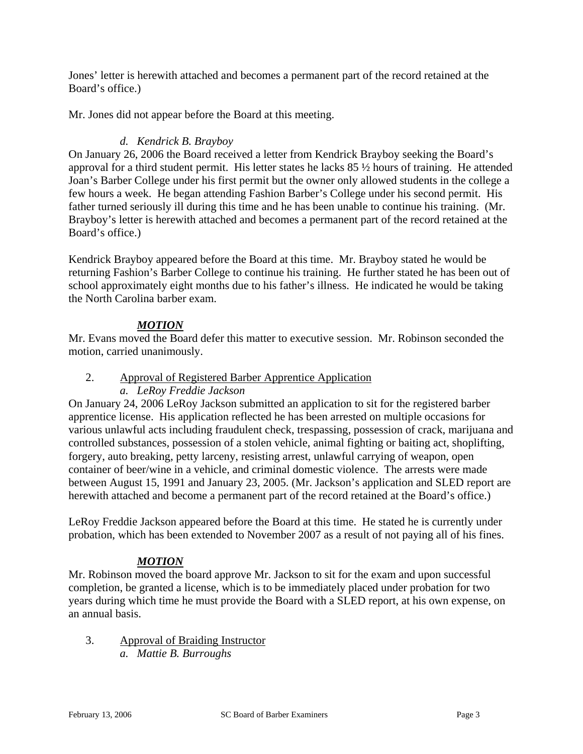Jones' letter is herewith attached and becomes a permanent part of the record retained at the Board's office.)

Mr. Jones did not appear before the Board at this meeting.

### *d. Kendrick B. Brayboy*

On January 26, 2006 the Board received a letter from Kendrick Brayboy seeking the Board's approval for a third student permit. His letter states he lacks 85 ½ hours of training. He attended Joan's Barber College under his first permit but the owner only allowed students in the college a few hours a week. He began attending Fashion Barber's College under his second permit. His father turned seriously ill during this time and he has been unable to continue his training. (Mr. Brayboy's letter is herewith attached and becomes a permanent part of the record retained at the Board's office.)

Kendrick Brayboy appeared before the Board at this time. Mr. Brayboy stated he would be returning Fashion's Barber College to continue his training. He further stated he has been out of school approximately eight months due to his father's illness. He indicated he would be taking the North Carolina barber exam.

### *MOTION*

Mr. Evans moved the Board defer this matter to executive session. Mr. Robinson seconded the motion, carried unanimously.

#### 2. Approval of Registered Barber Apprentice Application *a. LeRoy Freddie Jackson*

On January 24, 2006 LeRoy Jackson submitted an application to sit for the registered barber apprentice license. His application reflected he has been arrested on multiple occasions for various unlawful acts including fraudulent check, trespassing, possession of crack, marijuana and controlled substances, possession of a stolen vehicle, animal fighting or baiting act, shoplifting, forgery, auto breaking, petty larceny, resisting arrest, unlawful carrying of weapon, open container of beer/wine in a vehicle, and criminal domestic violence. The arrests were made between August 15, 1991 and January 23, 2005. (Mr. Jackson's application and SLED report are

LeRoy Freddie Jackson appeared before the Board at this time. He stated he is currently under probation, which has been extended to November 2007 as a result of not paying all of his fines.

herewith attached and become a permanent part of the record retained at the Board's office.)

# *MOTION*

Mr. Robinson moved the board approve Mr. Jackson to sit for the exam and upon successful completion, be granted a license, which is to be immediately placed under probation for two years during which time he must provide the Board with a SLED report, at his own expense, on an annual basis.

3. Approval of Braiding Instructor *a. Mattie B. Burroughs*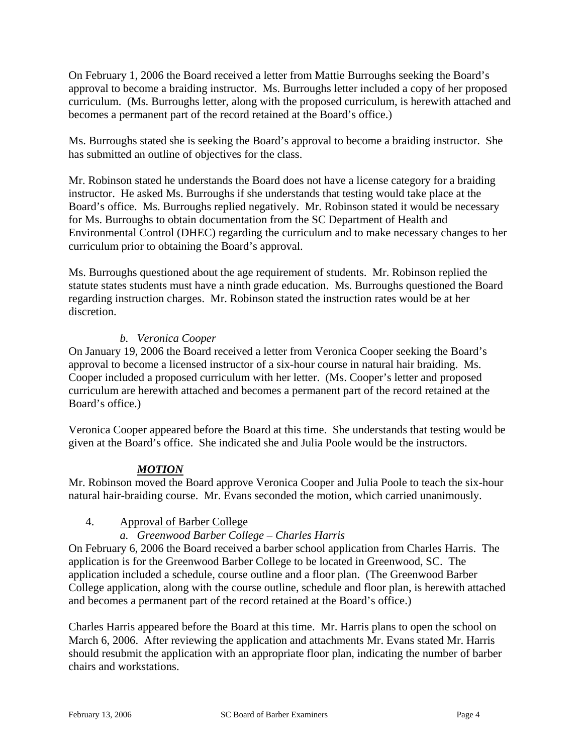On February 1, 2006 the Board received a letter from Mattie Burroughs seeking the Board's approval to become a braiding instructor. Ms. Burroughs letter included a copy of her proposed curriculum. (Ms. Burroughs letter, along with the proposed curriculum, is herewith attached and becomes a permanent part of the record retained at the Board's office.)

Ms. Burroughs stated she is seeking the Board's approval to become a braiding instructor. She has submitted an outline of objectives for the class.

Mr. Robinson stated he understands the Board does not have a license category for a braiding instructor. He asked Ms. Burroughs if she understands that testing would take place at the Board's office. Ms. Burroughs replied negatively. Mr. Robinson stated it would be necessary for Ms. Burroughs to obtain documentation from the SC Department of Health and Environmental Control (DHEC) regarding the curriculum and to make necessary changes to her curriculum prior to obtaining the Board's approval.

Ms. Burroughs questioned about the age requirement of students. Mr. Robinson replied the statute states students must have a ninth grade education. Ms. Burroughs questioned the Board regarding instruction charges. Mr. Robinson stated the instruction rates would be at her discretion.

## *b. Veronica Cooper*

On January 19, 2006 the Board received a letter from Veronica Cooper seeking the Board's approval to become a licensed instructor of a six-hour course in natural hair braiding. Ms. Cooper included a proposed curriculum with her letter. (Ms. Cooper's letter and proposed curriculum are herewith attached and becomes a permanent part of the record retained at the Board's office.)

Veronica Cooper appeared before the Board at this time. She understands that testing would be given at the Board's office. She indicated she and Julia Poole would be the instructors.

### *MOTION*

Mr. Robinson moved the Board approve Veronica Cooper and Julia Poole to teach the six-hour natural hair-braiding course. Mr. Evans seconded the motion, which carried unanimously.

### 4. Approval of Barber College

### *a. Greenwood Barber College – Charles Harris*

On February 6, 2006 the Board received a barber school application from Charles Harris. The application is for the Greenwood Barber College to be located in Greenwood, SC. The application included a schedule, course outline and a floor plan. (The Greenwood Barber College application, along with the course outline, schedule and floor plan, is herewith attached and becomes a permanent part of the record retained at the Board's office.)

Charles Harris appeared before the Board at this time. Mr. Harris plans to open the school on March 6, 2006. After reviewing the application and attachments Mr. Evans stated Mr. Harris should resubmit the application with an appropriate floor plan, indicating the number of barber chairs and workstations.